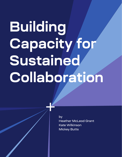# **Building Capacity for Sustained Collaboration**

by Heather McLeod Grant Kate Wilkinson Mickey Butts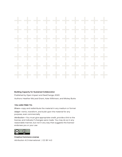### -------------. . . . . . . . . . - 4 . . . . . . . . . . . . ----a s -------4 ÷,

#### **Building Capacity for Sustained Collaboration**

Published by Open Impact and SeaChange, 2020 Authors: Heather McLeod Grant, Kate Wilkinson, and Mickey Butts

#### **YOU ARE FREE TO:**

*Share—*copy and redistribute the material in any medium or format *Adapt—*remix, transform, and build upon the material for any purpose, even commercially

*Attribution—*You must give appropriate credit, provide a link to the license, and indicate if changes were made. You may do so in any reasonable manner, but not in any way that suggests the licensor endorses you or your use



**Creative Commons License** Attribution 4.0 International | CC BY 4.0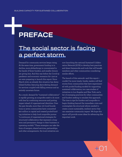### **PREFACE**

### The social sector is facing a perfect storm.

Demand for community services keeps rising. At the same time, government funding is in decline, more philanthropy is concentrated in the hands of fewer funders, and smaller donors are giving less. And this was before the Covid-19 pandemic and economic recession hit—just as we were preparing to launch this report. Since March 2020, an already dire situation has destabilized further, featuring skyrocketing demand for services coupled with falling revenue and an entirely uncertain future.

As a result, demand for "sustained collaboration" is rapidly growing, as nonprofits seek to do more with less by combining resources and putting impact ahead of organizational identities. Over the past decade, more than 100 local foundations in seven communities have committed \$20 million in capital and created pooled-funding initiatives to help local nonprofits pursue "a continuum of organizational strategies for structured collaboration that represent a longterm and permanent change to their business or operating models." These strategies can take the form of mergers, shared services, partnerships, and other arrangements. Six local initiatives are

now launching the national Sustained Collaboration Network (SCN) to develop best practices and share frameworks and tools that will benefit members and other communities considering similar efforts.

The launch of this network—and this report couldn't be more timely. Inside, readers will find stories from communities that have experimented with pooled funding models for supporting sustained collaboration, two case studies of initiatives in Los Angeles and New York, and a list of emerging practices for other communities and funders seeking to emulate this approach. The time is ripe for funders and nonprofits to begin thinking beyond the immediate crisis and contemplate the structural reform needed to create a more sustainable, resilient sector that can maximize community impact. We hope this report will provide some ideas for advancing this important work.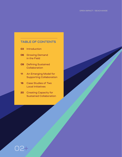#### **TABLE OF CONTENTS**

- **03** [Introduction](#page-4-0)
- **06** [Growing Demand](#page-7-0) [in the Field](#page-7-0)
- **09** [Defining Sustained](#page-10-0)  **[Collaboration](#page-10-0)**
- **11** [An Emerging Model for](#page-12-0)  [Supporting Collaboration](#page-12-0)
- **16** [Case Studies of Two](#page-17-0)  [Local Initiatives](#page-17-0)

02

**20** [Creating Capacity for](#page-21-0)  [Sustained Collaboration](#page-21-0)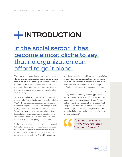# <span id="page-4-0"></span>**INTRODUCTION**

### In the social sector, it has become almost cliché to say that no organization can afford to go it alone.

The scale of the issues that nonprofits are tackling climate change, homelessness, racial justice, income inequality—often feels too big for any one nonprofit or funder to get its arms around. And the scale of the impact these organizations hope to achieve—at the level of systems, not symptoms—can often feel overwhelming.

Sometimes the best way to advance an organization's mission is to think beyond its own boundaries. That's why nonprofit collaboration has increasingly become an important tool in social change. But just urging nonprofits to collaborate is not sufficient. Working with other organizations—whether in a loose affiliate network or movement, or in a more structured partnership or merger—requires a commensurate growth in *capacity* to collaborate.

In the case of structured collaborations, this capacity building often means securing temporary legal, financial, and logistical expertise to execute nonprofit partnerships, mergers, and shared service arrangements. In the for-profit world, companies

wouldn't think twice about hiring outside specialists to help with work like this. In the nonprofit world, however, hiring experts is less common and fewer financial rewards for mergers or partnerships exist, so funders rarely invest in this capacity building.

"A sustained collaboration is not business as usual, so why wouldn't funders provide support to nonprofits to hire outside help?" asks Nadya Shmavonian, a partner with SeaChange Capital Partners and director of the Nonprofit Repositioning Fund, a regional effort to fund long-term collaborations among nonprofits in the Philadelphia area. "The work of collaboration can be utterly transformative in terms of impact."

> *Collaboration can be utterly transformative in terms of impact."*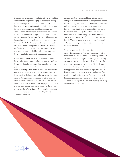Fortunately, more local foundations from around the country have begun taking up this work, following in the footsteps of the Lodestar Foundation, which has funded this sort of capacity-building since 1999. Recently, more than 100 local foundations have created pooled-funding initiatives in seven communities and are now forming the Sustained Collaboration Network (SCN). (See Figure 1.) This network is developing best practices and shared evaluation frameworks that will benefit both member initiatives and those considering similar efforts. One of the goals of the SCN is to support new communities that want to start pooled funds by creating a stepby-step guide for prospective collaborations.

Over the last seven years, SCN member funders have collectively committed more than \$20 million in capital that allows nonprofits to explore and implement formal collaborations. And national funders such as Fidelity Charitable Trustees' Initiative have engaged with this work to unlock more investment in strategic collaborations and to advance their mission of strengthening social sector infrastructure. "You can't underestimate the power of a collective action network in driving more engagement, collaboration, and shared learning to catalyze these kinds of transactions," says Sarah Gelfand, vice president of social impact programs at Fidelity Charitable Trustees' Initiative.

04

Collectively, this network of local initiatives has managed hundreds of sustained nonprofit collaborations involving thousands of organizations, and has built a robust pipeline of future projects. In addition to supporting the emergence of this network, the national SeaChange-Lodestar Fund has also invested \$2.2 million through 132 investments in 260 organizations across the country over the past decade. The end game is to help nonprofits sustain and grow their *impact*, not necessarily their individual organizations.

The total funding thus far is admittedly small compared with the scale of "big bet" philanthropy. But this behind-the-scenes effort is catalyzing an important shift across the nonprofit landscape and having an outsized impact on the ground. In other words, it's a highly leveraged investment. We think more funders and change-makers may want to learn from this approach, and even consider replicating it. To that end, we want to share what we've learned from helping to build this network. As we will explore in this report, innovative platforms for this work are coalescing into a powerful field of capacity building for sustained collaboration.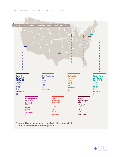

05

\*Chicago's MSI was a founding member of the network but has subsequently left; Arizona just joined as this report was being published.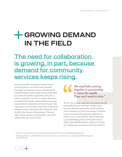# <span id="page-7-0"></span>**<del>T</del> GROWING DEMAND IN THE FIELD**

### The need for collaboration is growing, in part, because demand for community services keeps rising.

Among nonprofits serving low-income communities, 65 percent can't meet current demand.<sup>1</sup> Ironically, the response of many well-intentioned nonprofit leaders, social entrepreneurs, and funders is to create yet another organization. But with 1.5 million nonprofits in the US—a number that grows 10 percent each decade<sup>2</sup>—simply adding more organizations won't sustainably meet the demand. "One organization is not going to create the systems-level change we need," says Kristen Scott Kennedy, chief of staff of the Council of Foundations. "We need folks coming together in partnership to move the needle. They can't work in silos."

06

#### *We need folks coming together in partnership to move the needle. They can't work in silos."*

All over the country, nonprofits are heeding this call and collaborating in new ways—whether forming loose alliances, partnering in local collective action initiatives, or going even further to develop a more structured and sustained collaboration between two or more entities. Take, for example, a groundbreaking public-private partnership in Dallas called After8toEducate, which is the result of a collaboration among the city's school district,

<sup>1</sup> *State of the Nonprofit Sector Survey*, Nonprofit Finance Fund, May 9, 2018. https://nff.org/learn/survey

<sup>2</sup> *The Nonprofit Sector in Brief 2018*, Urban Institute, December 13, 2018. https://nccs.urban.org/publication/nonprofitsector-brief-2018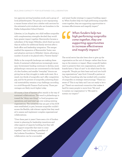two agencies serving homeless youth, and a group of local philanthropists. The group is now repurposing a vacant former school into a shelter with services for the estimated 4,000 students who are homeless in the Dallas Independent School District.

Likewise, in Los Angeles, two child welfare nonprofits with complementary strengths decided they would have greater impact together. Bienvenidos became a subsidiary of the larger Hillsides, which freed up more than \$1 million for additional family services after a back-office and leadership integration. The merger enabled the expansion of Bienvenidos' foster care and adoption services to Hillsides' clients, allowing a number of youth to be placed with a "forever family."

Shifts in the nonprofit landscape are making these kinds of sustained collaborations increasingly necessary. Government funding continues to decline, more philanthropic resources are concentrated in the hands of a few funders, and smaller "everyday" donors are giving less as they struggle to make ends meet. As a result, two-thirds of nonprofits can't offer competitive pay, and for 62 percent of nonprofits, achieving financial sustainability remains a top challenge, according to a 2018 Nonprofit Finance Fund survey. Those percentages are likely much higher today.

Of course, a host of barriers often stands in the way of sustained collaborations. The trend in philanthropy is toward the "shiny new thing": to fund programs over operations, and seed start-ups over scaling existing organizations. The initiatives that are part of the SCN were established, in part, because nonprofits couldn't access the flexible, risk-tolerant capital that they needed to assess and implement complex organizational collaborations.

"Over these past 21 years I have seen a lot of funders invest in planning for leadership transitions and other aspects of capacity building, but they will not support nonprofits that want to come together," says Lois Savage, president of the Lodestar Foundation. "Sustained collaboration can be a successful

and smart funder strategy to support building capacity. When funders help two high-performing nonprofits come together, they are supporting opportunities to increase effectiveness and magnify impact."

*When funders help two high-performing nonprofits come together, they are supporting opportunities to increase effectiveness and magnify impact."*

The social sector has also been slow to give up the organization as the unit of change—rather than focusing on the mission or impact. Many nonprofit leaders want to preserve their own organizations, and their boards have a "duty of care" to do what's best for the nonprofit. "People put their heart and soul into building organizations," says Scott Cotenoff, a partner at La Piana Consulting who has worked with a number of nonprofits on strategic restructurings. "There is a sense of 'This is my baby and I am not ready to let it go.' There's an emotional connection that makes it hard for many people to move from 'We need to sustain our organization' to 'We need to sustain our impact.'"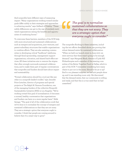And nonprofits have different ways of measuring impact. "Many organizations working toward similar goals differ subtly in their strategies and approaches to achieving results," says Gelfand of Fidelity. "These subtle differences can get in the way of similarly motivated organizations seeing the benefits and opportunities of combining forces."

To overcome these barriers, members of the SCN help with more structured and sustained collaborations such as mergers and acquisitions, joint ventures, and parent-subsidiary structures that enable organizations to combine efforts. They are also assisting communities in developing critical "backbone" platforms, through fiscal sponsorship, management support organizations, colocation, and shared back-office services. All these initiatives aim to remove the stigma that often wrongly surrounds sustained collaborations, and to make them part of regular conversations that nonprofits and funders should have about impact and sustainability.

"Formal collaboration should be a tool just like any other in a nonprofit leader's toolkit," says Jennifer Price-Letscher, director of programs and special projects at The Ralph M. Parsons Foundation, one of the managing funders of the collective Nonprofit Sustainability Initiative (NSI) in Los Angeles. "We're working toward this goal of normalization: It becomes a normal, healthy conversation that organizations and funders can have on a more regular basis." Adds Savage: "The goal of all of the collaboration work that we've done is to normalize the concept of mergers and sustained collaborations so that they are not scary. They are a strategic option that everyone ought to consider. I think that people are coming around to believe that it's a smart way to grow."

08

#### *The goal is to normalize sustained collaborations so that they are not scary. They are a strategic option that everyone ought to consider."*

The nonprofits flocking to these initiatives, including the two efforts described above, are proving that robust demand exists for sustained collaboration. "When we held our launch event in June 2017, we were nervous that there wasn't going to be enough demand," says Margaret Black, director of Lyda Hill Philanthropies and a member of the steering committee of the Better Together Fund in Dallas, which is part of the SCN. "I remember wondering how many chairs to put out in the room. Should it be 30 or 35? And to our pleasant surprise, we had 400 people show up, and it was standing room only. We discovered that the demand exists, that our community is willing and ready, and that this is a true need that we had unearthed."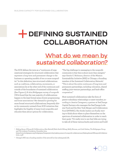# <span id="page-10-0"></span> **DEFINING SUSTAINED COLLABORATION**

### What do we mean by *sustained collaboration?*

The SCN defines the term as a "continuum of organizational strategies for structured collaboration that represent a long-term and permanent change to the business or operating models of two or more nonprofits." In this definition, less structured collaborations such as coalitions, collaboratives, movements, or associations lie at the other end of the continuum and outside of the boundaries of sustained collaboration. (See Figure 2.) A 2014 Bridgespan survey of nonprofit CEOs found that the vast majority of collaborations happen in the least formal areas of joint programming and loose associations.3 But demand is growing for more formal structured collaborations, frequently driven by community outreach from SCN initiatives that highlights the fragility of many local nonprofits and educates them about options for collaboration.

"The big challenge in messaging to the nonprofit community is that this is about more than mergers," says Genita C. Robinson, director of the Mission Sustainability Initiative (MSI) in Chicago, a founding member of the Sustained Collaboration Network.<sup>4</sup> "This is about the entire continuum of long-term and permanent partnerships, including colocation, shared staffing, joint-venture partnerships, and back-office cooperation."

Most sustained collaborations take the form of parent–subsidiary relationships or asset transfers, according to Jessica Cavagnero, a partner at SeaChange Capital Partners who manages the SeaChange-Lodestar Fund and the New York Merger and Collaboration Fund (NYMAC). She thinks leaders are finally starting to think about where to place themselves on the spectrum of sustained collaboration in order to reach their goals. "It's really nice to see that folks are trying to take all of these various knobs and screws and build

<sup>3</sup> *Making Sense of Nonprofit Collaborations,* Alex Neuhoff, Katie Smith Milway, Reilly Kiernan, and Josh Grehan, The Bridgespan Group and The Lodestar Foundation, December 2014. https://www.bridgespan.org/bridgespan/Images/articles/making-sense-of-nonprofit-collaborations/MakingSenseOfNonprofitCollaborations\_1.pdf

<sup>4</sup> Chicago's MSI was a founding member of the network but has subsequently left.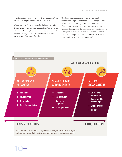something that makes sense for them, because it's no longer seen as just one size fits all," she says.

Whatever form these sustained collaborations take, there's more going on than just another "flavor" of collaboration. Instead, they represent a set of new funder behaviors designed to shift organizations toward more sustainable ways of working.

"Sustained collaborations don't just happen by themselves," says Shmavonian of SeaChange. "They require serious funding, resources, and incentives. One cannot overestimate the significance of having respected community funders band together to offer a safe space and resources for nonprofits to assess and exercise their options. These initiatives are essential catalysts for sustained collaboration."

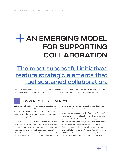# <span id="page-12-0"></span>**+ AN EMERGING MODEL FOR SUPPORTING COLLABORATION**

### The most successful initiatives feature strategic elements that fuel sustained collaboration.

While we have found no single cookie-cutter approach that works every time, our research and work with the SCN show that most successful initiatives typically have four characteristics that lead to powerful results.

#### 1 COMMUNITY RESPONSIVENESS

All of the SCN initiatives have grown out of strong community demand and have not been imposed from on high. "We believe it takes a coalition of the willing," says Black of the Better Together Fund. "You can't force collaboration"

Today the local SCN initiatives work to raise awareness and change attitudes about sustained collaborations at convenings for nonprofit boards, staff, and community members—gatherings that frequently attract hundreds of participants. Each initiative in the network fields dozens of confidential calls per month

from nonprofit leaders who are interested in getting advice about sustained collaboration.

Nonprofit leaders and boards often know they need help and are in a good position to advocate for what would be of value to them. But many haven't done this before, and sometimes, neither have the funders. Initiative leaders have to have humility. "First and foremost, what guides us is to always assume that nonprofits know what they're doing," says Cavagnero of NYMAC. "Our work is really driven by the needs and desires of nonprofits and the questions that they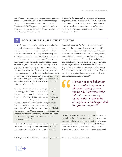ask. We represent money, we represent knowledge, we represent a network. And I think all of those things wrapped up add value to the community." Adds Robinson of MSI: "In general, nonprofits know best; they just need the resources and support to help them come to an informed decision."

Ultimately, it's important to send the right message to grantees to bridge what can feel like a divide with their funders. "The message we're trying to send is that we are all on the same team and we're on the same side of the table trying to advance the same things," says Black.

#### 2 POOLED FUNDS OF PATIENT CAPITAL

Most of the six current SCN initiatives started independently when a group of local funders decided to pool funds to cover the financial costs of collaboration, such as the short-term help needed to explore or implement sustained collaborations, or grants for technical assistance and consultants. These grants are separate from the regular funding of individual foundations, so nonprofits are not "robbing Peter to pay Paul" or cannibalizing existing funding efforts. "It cannot be overstated the amount of expertise and time it takes to evaluate if a sustained collaboration is going to be worth it," says Black of the Better Together Fund. "Unless you're creating that space of dedicated funding, collaboration doesn't rise to the level of priority that's needed."

These local initiatives are responding to a lack of funder support for the true costs of collaboration. According to surveys from Bridgespan and Grantmakers for Effective Organizations, most funders play little role in supporting collaboration.5 Those funders that do support collaboration view mergers as the least successful, and joint programming as the most successful. Whereas the view from nonprofit CEOs is the exact opposite: Twenty percent report failure with loose collaborations, which they often feel pressured to initiate. Clearly, there's a disconnect between funders and nonprofits.

Why is this? Program officers often work to advance issue areas that they are passionate about, and most foundations are organized along program-specific

12

lines. Relatively few funders link a sophisticated understanding of nonprofit capacity to their ability to deliver upon programmatic outcomes. Sustained collaboration work lies at the heart of strengthening nonprofit business models, but galvanizing funder support is challenging. "We need to stop believing that social entrepreneurs alone are going to save the world," says Stephen Patrick, vice president of the Aspen Institute and executive director of the Forum for Community Solutions. "What about the infrastructure already in place that needs to be strengthened and expanded for greater impact?"

> *We need to stop believing that social entrepreneurs alone are going to save the world. What about the infrastructure already in place that needs to be strengthened and expanded for greater impact?"*

To address these barriers, SCN member foundations typically make multiyear financial commitments to a network initiative, in the hopes of seeing the benefits over months and years. Initiatives like NYMAC and the Greater Philadelphia Nonprofit Repositioning Fund raise funds once every two to three years, much

<sup>5</sup> *Making Sense of Nonprofit Collaborations,* The Bridgespan Group and the Lodestar Foundation, December 2014.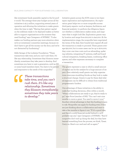like investment funds assemble capital in the for-profit world. The average three-year budget across all the initiatives is \$1.5 million, supporting several years of operation and allowing the initiatives to make grants when the time is right. "Having that patient capital on the sidelines ready to be deployed makes us better able to support organizations at the moment they need funding," says Cavagnero of NYMAC. "It also makes our funding partners pay more attention when we're at investment committee meetings, because we don't have to get all the money out the door, and we're not distracted by fundraising."

Adds Savage of the Lodestar Foundation: "These transactions take time, and you can't rush them. It's like any relationship. Sometimes they blossom immediately; sometimes they take years to develop. And sometimes you have to wait a generation, until an ED or some board members leave. You have to be patient and responsive to the needs of the nonprofits."

*These transactions take time, and you can't rush them. It's like any relationship. Sometimes they blossom immediately; sometimes they take years to develop."*

Initiative grants across the SCN come in two basic types: exploration and implementation. An exploration grant helps two or more nonprofits access third-party experts—such as lawyers, facilitators, and financial analysts—to perform due diligence, figure out whether a collaboration makes sense, and negotiate what it might look like. Exploration grants vary by location and range from \$10,000 to \$40,000. At the implementation stage, the nonprofits have negotiated the terms of the deal, their boards have signed off, and the transaction is ready to proceed. These grants average \$30,000, but in some cases can be up to \$100,000; they cover one-time costs such as rebranding, updating websites, integrating IT systems, staff and board cultural integration, breaking leases, combining office spaces, and other expenses necessary to complete a transaction.

The grants represent a case in which a small amount of capital can be the catalyst for a huge amount of impact. Even relatively small grants can help organizations overcome stumbling blocks as they look to make a structural change. Grants to pay for these deal-related expenses can be difficult to obtain from traditional programmatic funders.

One advantage of these initiatives is the ability to make fast funding decisions, often within a month. "When collaborations are ready to go, they're ready to go," says Price-Letscher of NSI. "You can't wait nine months to move a grant. You need to move it now." Another critical advantage is that this funding is open to risk. Nonprofits can apply for funding even if they are just thinking about a collaboration and want to take a few months to figure it out. "If it's a good idea, and there's a solid financial model behind it, we'll probably say yes," says Cavagnero of NYMAC. "And if nonprofits don't end up doing the deal, but they have learned something from the process, we think, 'Great. Carry on. Here's our card and call us again.'"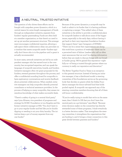#### 3 A NEUTRAL, TRUSTED INITIATIVE

The question of who drives these efforts can be fraught with unspoken power dynamics, which is a central reason for arms-length management of funds through an independent initiative, separate from funders' regular grantmaking. Funds are often held at a member organization, so that there's no need to set up yet another permanent structure. This arrangement encourages confidential inquiries, allowing a safe space where collaboration ideas can percolate on a timeline that meets nonprofit needs—funders typically don't know who is in the pipeline until a grant is actually recommended.

In most cases, network initiatives are led by an independent manager who has earned trust in the community, has recognized expertise, and can speak the language of nonprofit executives, boards, and funders. Initiative managers often vet grant proposals for the funders, steward grantees throughout the process, and offer a confidential sounding board for nonprofits to have exploratory conversations and receive feedback about potential collaborations. When needed, initiative managers can help nonprofits identify potential consultants or technical assistance providers. In the process of helping so many nonprofits, they amass tremendous knowledge of what makes successful deals.

"There's a safety of going to a neutral third party," says Lynn Alvarez, vice president of programs and strategy for ECMC Foundation in Los Angeles and the former initiative manager at NSI. "You don't have to go to your regular funder and feel like you're double dipping or needing to air your dirty laundry. The initiatives keep a pot of money separate from any one funder."

Because of the power dynamics, a nonprofit may be loath to admit to its funder that it is having problems or exploring a merger. "One added value of these initiatives is the ability to provide a confidential place for nonprofit leaders to talk about some of the bigger issues, especially in the early days, without having it get back to their very important foundation funders that support them," says Cavagnero of NYMAC. "There can be a sense that organizations are doing this work from a position of weakness—there can be a perceived taint of failure. Leaders who call us often want assurances that we won't be sharing information before they are ready to discuss things with our broader funder group. We've gained this reputation—rightfully so—of being a trusted thought partner where our currency is really our reputation and discretion."

The Better Together Fund in Texas is an exception to this general structure. Instead of having an initiative manager, it has a distributed model: a steering committee of five foundations serves as the governing body that decides on grants while the Dallas Foundation manages the donor-advised fund that holds pooled capital. A nonprofit can approach any of the steering committee members knowing that all of them will honor confidentiality.

"If you're really trying to model that we're on the same team, then I think it's OK that you don't have this neutral party as a go-between," says Black. "Because every decision maker on the committee has directly stewarded some of these programs, I think everybody is a better decision maker. That strengthens the steering committee, it strengthens the organizations that are funding it, and it brings a closer connection to this great divide between grantees and funders."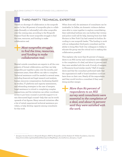#### THIRD-PARTY TECHNICAL EXPERTISE

There's no shortage of collaboration in the nonprofit sector: In fact, 68 percent of nonprofits plan to collaborate (formally or informally) with other nonprofits over the coming year, according to the Nonprofit Finance Fund. But most nonprofits struggle to find the time, resources, and funding to make collaboration real.

#### *Most nonprofits struggle to find the time, resources, and funding to make collaboration real.*

Neutral outside consultants are experts in all the components of formal collaboration, and they can help nonprofits put together a plan over the months, and sometimes years, these efforts can take to complete. Technical assistance could be needed in several areas, including financial and legal research and analysis, human resources compensation, fundraising feasibility studies, IT platforms and capacity assessments, and rebranding strategies in the case of mergers. Legal assistance is critical to completing complex transactions, and the initiatives can either coordinate access to pro bono counsel or provide support to retain discounted legal counsel—help that can be worth upwards of six figures. Many network initiatives offer a list of vetted, experienced technical assistance providers, or help develop capacity among consultants for this work.

When done well, the assistance of consultants can be invaluable. In Dallas, six domestic violence shelters were able to come together to explore consolidating their individual hotlines into one hotline that victims and police could call for help, learning from how Safe Horizon in New York City had created its hotline. According to one nonprofit leader, "The funding to work with an independent third-party consultant and the ability to bring New York City colleagues to Dallas to educate the group was the critical tool to making this collaboration possible."

This explains why more than 80 percent of respondents to an NSI survey said consultants were essential to the completion of a deal, and about 75 percent said they were satisfied with the work. A study of mergers in Minnesota found similar results.6 Half of respondents said that the consultant performed tasks that the organization's staff or board members could not have done on their own. Nearly all the respondents said they would involve a consultant if they were doing another merger.

*More than 80 percent of respondents to an NSI survey said consultants were essential to the completion of a deal, and about 75 percent said they were satisfied with the work.* 

<sup>6</sup> *Synopsis: Success Factors in Nonprofit Mergers*, MAP for Nonprofits and the Amherst H. Wilder Foundation, July 2012. https://www.wilder.org/sites/default/files/imports/MapMerger\_SuccessFactors\_Synopsis\_7-12.pdf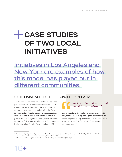# <span id="page-17-0"></span>**CASE STUDIES OF TWO LOCAL INITIATIVES**

Initiatives in Los Angeles and New York are examples of how this model has played out in different communities.

#### CALIFORNIA'S NONPROFIT SUSTAINABILITY INITIATIVE

The Nonprofit Sustainability Initiative in Los Angeles grew out of a 2011 conference hosted at the UCLA Center for Civil Society about the financial strain nonprofits were experiencing following the Great Recession of 2008. After the downturn, demand for services had spiked while revenue from public and private funders had plummeted—a perfect storm for nonprofits. "We hosted a conference and an initiative broke out," jokes Jennifer Price-Letscher of NSI.

#### *We hosted a conference and an initiative broke out."*

A few years later, the funding environment was still dire, with a UCLA study finding that philanthropists in Los Angeles County gave \$1 billion less per year in 2013 than in 2006, at the height of the previous economic boom.7

<sup>7</sup> *The Generosity Gap: Donating Less in Post-Recession Los Angeles County*, Shawn Landres and Shakari Byerl, UCLA Luskin School of Public Affairs and the California Community Foundation, 2016. https://www.calfund.org/wp-content/uploads/ucla-ccf-report-may2016-rev5-WEB.pdf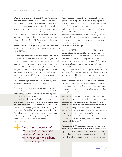Demand among nonprofits for NSI was strong from the start: Seven hundred local nonprofit CEOs and board members showed up when NSI held its first meeting on sustained collaboration. The network started as an informal collaboration among three leading Southern California foundations, and has since grown to include 18 foundation partners. The three current managing funders—The Ahmanson, California Community, and Ralph M. Parsons foundations—provide the initiative manager with direction and help make decisions about grant requests. The California Community Foundation (CCF) acts as fiscal agent and hosts NSI's website.

To date, 230 nonprofits in the Los Angeles area have received \$3.7 million across 79 exploration grants and 33 implementation grants. NSI grants are distributed across six major categories, in order of investment: youth and family, human services, health, education, arts, and animal welfare. Among grantees, more than 85 percent of exploration grants have resulted in signed agreements: Half are mergers or acquisitions, while the remainder involve formal partnerships such as colocation agreements, joint programming, and consolidation of administrative functions.

More than 80 percent of grantees report that these partnerships enhance their organization's ability to achieve impact, and more than 75 percent say that their relationship with NSI has a positive impact on their ability to think strategically, foster board engagement, improve financial awareness, and remain open to future partnerships. The definition of success for NSI is not whether organizations come to an agreement, says Carrie Harlow, project manager for NSI. Participants gain a greater awareness of their organizational capacities from going through the process, even if they get to the altar and decide not to marry.

> *More than 80 percent of NSI's grantees report that partnerships enhance their organization's ability to achieve impact.*

"One hundred percent of the 80 organizations that participated in a post-negotiation survey reported that, regardless of whether or not they came to some sort of agreement, they felt that the experience of going through the negotiation was valuable," says Harlow. "And if they don't come to an agreement, many of them come back to us with a new partner down the line and engage in the process again. That speaks to the fact that this is a tool that they're comfortable using, whether or not it results in an agreement on the first attempt."

Over time, NSI has developed a list of high-quality technical assistance providers that nonprofits can choose to use. These are not run-of-the-mill consultants; rather, they have a unique skill set that includes an important psychological component. "What we've heard consistently from grantees that we've supported is that this work requires consultants to have an organizational-behavior or therapeutic capacity," says Price-Letscher. "It's not like the for-profit sector, where you get your golden parachute and your name in the business journal when your company has been acquired. It's more like your identity is being subsumed by another organization and can you let that go? A consultant needs to be able to help clients navigate the complex interpersonal dynamics that often arise during this process."

Like all the initiatives, NSI carefully assesses nonprofits' readiness for sustained collaboration, making sure grantees have realistic expectations about the time and the financial and emotional commitment it can take to complete a negotiation. "We have conversations with the participating organizations to ensure that they're entering into the negotiations with clear and realistic expectations," says Harlow. (See sidebar "Questions to Assess a Nonprofit's Readiness for Sustained Collaboration.")

What makes NSI's quick response rate of two weeks to one month possible is a governance structure made up of only three decision makers who vote on grants, rather than all 18 foundation partners in the pooled fund. The other foundation partners form a learning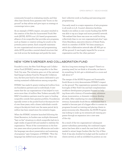community focused on evaluating results, and they often hear directly from grantees with "boots on the ground" as they advise and give input on strategy at convenings twice a year.

As an example of NSI's impact, one grant resulted in the creation of the Arts for Incarcerated Youth Network (AIYN). AIYN is an L.A.-based programmatic alliance of six nonprofits that provides arts programs, such as theater or creative writing, for youth in the juvenile justice system. Each nonprofit maintains its own organizational structure and programming, while AIYN provides a neutral shared structure that can look across the landscape and guide the members' collective work on funding and executing joint programming.

One early result is a major expansion of arts programs to all youth in L.A. County's detention facilities, thanks to \$1 million in new county funding that AIYN was able to tap as a larger and more powerful network. "We realized that there was more we could be doing collectively than in our own organizational silos," says Chris Henrikson, executive director of Street Poets, which is a member of AIYN. "It's been amazing to watch this collaborative network take off. NSI got us off the ground. It was hugely impactful for us as an organization and for the other partners."

#### NEW YORK'S MERGER AND COLLABORATION FUND

Founded in 2012, the New York Merger and Collaboration Fund (NYMAC) serves nonprofits in the New York City area. The initiative grew out of the national SeaChange-Lodestar Fund for Nonprofit Collaboration, the first joint fund in the nation dedicated to promoting sustained collaborations among nonprofits.

NYMAC has made 61 grants totaling \$1.8 million from six foundation partners and 12 individuals. It estimates that the 142 organizations it has helped in turn serve more than 1.8 million New Yorkers annually. NY-MAC's foundation partners must be open to funding nonprofits outside their grantee portfolio. Foundations typically invest in the pooled fund at the \$150,000 level over three years, with a dozen individuals contributing at the \$25,000 level over the same period. \$2.75 million has been raised since the initiative began.

When the NYMAC initiative launched following the Great Recession, its funders saw multiple distressed, "hair on fire" situations in which nonprofits had six to eight weeks of payroll left and needed to stabilize the organization. "None of the conversations in the first two years were about proactive efficiencies and scale the language was about preservation and sustaining of programs," says Cavagnero of NYMAC. "Now the language has shifted more proactively, to 'How can

this be a long-term strategy for impact? There's no pressing need, but we think in 18 months, we have to do something. So let's get a whiteboard in a room and talk about it.'"

The merger of the HOPE Program and Sustainable South Bronx in 2015 demonstrates NYMAC's impact on the ground. The organizations operated in separate boroughs of New York City and had complementary workforce development programs focused on helping those with a history of homelessness, substance abuse, incarceration, or domestic violence develop job skills. After weathering two years of declining revenue, Sustainable South Bronx determined that it needed to become part of a bigger effort to sustain its programs focused on training and placing clients in green-economy jobs. Meanwhile, the HOPE Program was looking to scale up its intensive job training programs through an expansion into a new area of the city.

As a result of the two organizations' subsequent parent–subsidiary partnership, the combined organization has been able to reach the next level of scale needed to attract larger funders like the City of New York. It has also doubled its budget and the number of clients served, as well as solidified its position as one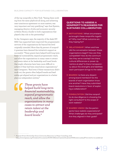of the top nonprofits in New York. "Seeing them working from the same playbook all along, and achieving near-unanimous agreement on most matters, was very important and very gratifying," says Suzi Epstein, managing director of jobs and economic security at Robin Hood, a funder to both organizations that played a key role in the partnership.<sup>8</sup>

So far, Cavagnero says, the majority of the deals NY-MAC has supported have improved the programmatic services of the organizations far beyond the level originally intended. More than 85 percent of nonprofit grantees have deemed the initiative's support as successful. "These grants have helped build long-term financial sustainability, expand programmatic reach, and allow the organizations in many cases to attract and retain talent at the leadership and board levels that might otherwise have been more difficult to achieve if they had been stand-alone organizations," says Cavagnero. "And even if these transactions didn't work out, the grants often helped boards and leadership get aligned and put organizations in a better place as independent entities."

> *These grants have helped build long-term financial sustainability, expand programmatic reach, and allow the organizations in many cases to attract and retain talent at the leadership and board levels."*

#### **QUESTIONS TO ASSESS A NONPROFIT'S READINESS FOR SUSTAINED COLLABORATION**

- **MOTIVATIONS |** What circumstances brought these nonprofits together? Why now? What outcome are they hoping for?
- **RELATIONSHIP |** When and how did the conversation between these organizations begin? How are they compatible? How do the communities they serve overlap? Are there cultural differences or power dynamics at play? Is there transparency about the strengths and liabilities each participant brings to the table?
- **BOARDS |** Is there any dissent among board members? Do the boards of each organization know one another? Have they submitted board resolutions in favor of exploring a collaboration?
- **CONSULTATION |** Did the nonprofits do due diligence in choosing the right consultant? Is the scope of work realistic?
- **SHARED VISION |** Do the participants have realistic expectations? What challenges do they anticipate? Are they aligned in their goals?

8 *Purpose-Driven Partnership Grows Community Resources*, La Piana Consulting, 2018.

https://www.lapiana.org/Portals/0/Documents/HOPE-SSBx%20Case%20Study%20FINAL%20111318.pdf?ver=2018-12-04-151848-337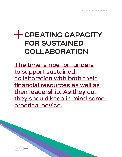# <span id="page-21-0"></span>**CREATING CAPACITY FOR SUSTAINED COLLABORATION**

The time is ripe for funders to support sustained collaboration with both their financial resources as well as their leadership. As they do, they should keep in mind some practical advice.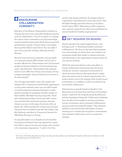#### **ENCOURAGE COLLABORATION CURIOSITY.**

Robinson of the Mission Sustainability Initiative in Chicago has seen more nonprofits thinking proactively about collaboration. "One of our goals is to change the culture of the conversation around partnerships, toward something that people think about proactively and talk about openly. It doesn't have to be spoken about quietly behind closed doors. You can make it part of your periodic strategic planning routine," she says.

She sees more and more nonprofits coming together to generate greater effectiveness and not just to increase efficiencies. "Partnerships aren't just because people are having problems or facing external pressures," says Robinson. "Partnerships help organizations be more effective: serving more people, serving a bigger geographic area, providing more services to the same people."

One Chicago-area health center she worked with merged with a community mental health organization to bring client referrals under one roof. MSI funded a cultural integration program designed to create shared ownership for programs. Another merger of three healthy affordable-housing nonprofits, which had overlapping funding sources and tight connections between EDs and board members, allowed clients to access a wide range of services with one phone call. "MSI provided the critical tools and early resources that we needed to get the ball rolling," says Rob Anthony, president of Community Partners for Affordable Housing in Chicago.

A nonprofit leader in Los Angeles saw the benefits of proactivity firsthand when she applied for a grant from NSI to explore its eventual merger with a similar L.A. community organization. "I used to be of the

opinion that people needed to do mergers when an organization was failing and it was a last resort," says Michelle Freridge, executive director of the Asian Youth Center (AYC). "Attending an NSI conference was a real eye opener for me about the possibilities for mutual benefits for healthy organizations."

### **GET BOARDS ON BOARD.**

Boards represent the single biggest barrier—and leverage point—to developing healthy sustained collaborations. The duty of care that board members must demonstrate, as well as their own loyalties, can sometimes hinder their ability to elevate achieving and delivering on the organization's mission above its own narrow interests.

While the executive director is far more likely to initiate collaboration discussions than the board, boards are critical in creating an environment in which executive directors feel empowered to begin these discussions and to evaluate opportunities. If a project doesn't rise to the strategic level of early board involvement, it is unlikely to yield a successful longterm formal collaboration.

Education for nonprofit boards is therefore vital. Resources such as those from the Power of Possibility project, created by the nonprofit group BoardSource, and the GrantSpace Nonprofit Collaboration Database from Candid can be helpful in starting and advancing the conversation about sustained collaborations among boards and nonprofit leaders.9 The initiatives profiled in this article have held dozens of events reaching out to boards and nonprofits to demonstrate that sustained collaboration can be a productive strategy.

<sup>9</sup> *The Power of Possibility,* BoardSource. http://www.thepowerofpossibility.org/; GrantSpace Nonprofit Collaboration Database, Candid, https://grantspace.org/collaboration/.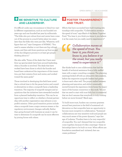#### **BE SENSITIVE TO CULTURE AND LEADERSHIP.**

It's difficult under any circumstance to blend two vastly different organizations, such as one founded 100 years ago and one founded last year by millennials. "The folks who put culture front and center have come out of the process in a much better place two years later than the folks who were just like, 'Whatever, we'll figure that out,'" says Cavagnero of NYMAC. "You need to assess whether or not there are big cultural issues, and then ask those questions up front as part of the due diligence process to at least get people thinking about it."

She also adds, "Some of the deals that I have seen blow up spectacularly have been around leadership, when a founder is involved. The deals that have worked have been those in which the founder and board have understood the importance of this transition, put their mission front and center, and worked toward the same goals."

Those involved in developing this field have noted that a critical time to hit the pause button and consider alternatives is when a nonprofit faces a leadership transition. The majority of nonprofit mergers and acquisitions that the initiatives have stewarded resulted from a planned leadership transition. This can be an opportune time to reflect on whether a formal partnership with another organization may advance a nonprofit's mission. Other good transition points include when a nonprofit loses a major revenue stream or the regulatory environment changes radically. Rather than going forward with business as usual, it can be time to determine if a nonprofit can be more effective by joining forces with others.

#### **FOSTER TRANSPARENCY AND TRUST.**

Efforts that have succeeded have built trusting relationships with nonprofits. "Collaboration moves at the speed of trust," says Black of the Better Together Fund. "You hear it, you think you know it, you believe it at the onset, but you really need to experience it."

#### *Collaboration moves at the speed of trust. You hear it, you think you know it, you believe it at the onset, but you really need to experience it."*

She thinks back to one collaboration that had the benefit of technical assistance from a fully staffed team with a major consulting company. The planning meetings kicked off with an exhaustive data analysis, before the respective nonprofit leaders had gotten to know each other well. The project stalled between planning and execution, and while it eventually moved forward, the experience drove home the importance of the human connection in this work. "It's not that we need to start with trust falls, but it is essential that we don't assume that everybody is truly trusting before we move forward," Black says.

To build more trust, funders can convene grantees around best practices in the field of sustained collaboration so that nonprofits have an opportunity to become more receptive to collaboration. "Sustained collaborations are very sensitive work and people are very much aware of the power dynamic," says Savage of Lodestar. "Funders have to be very respectful of nonprofits. You can't demand that two nonprofits come together, because it's like a marriage—these relationships have to be built on trust. When efforts are foundation-mandated and -initiated, that can create problems."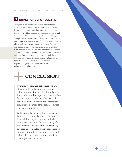#### **BRING FUNDERS TOGETHER**

Everyone in philanthropy wants to maximize the impact of their limited dollars. One way to do that is by supporting nonprofits that want to achieve more impact by working together on a permanent basis. "All funders should want to see impact magnified," says Savage. "From all of the combinations of nonprofits I've seen, the stories are amazing of how much more they're able to achieve when they come together." For exam ple, Lodestar funded the national merger of Gilda's Club and the Wellness Community to form the Cancer Support Community, which provides support for cancer patients. In the first year, that combination led to a bud get for the new organization that was \$1.6 million lower than the sum of the previous organizations' separate budgets, with an increase in its effectiveness and impact.

# **CONCLUSION**

Ultimately, sustained collaborations are about growth and change, and about achieving more impact with limited dollars. But to advance this important work, funders face an important choice: They can help organizations come together—or they can continue to do more of the same, organiza tion by organization.

Fortunately, it's not an either/or decision. Funders can and will do both. The more forward-thinking among them will also join forces with other funders to magnify the impact of their philanthropic work by supporting formal, long-term collaboration among nonprofits. In the process, they will achieve lasting impact among the clients that organizations serve.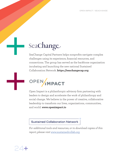### SeaChange

SeaChange Capital Partners helps nonprofits navigate complex challenges using its experience, financial resources, and connections. The group has served as the backbone organization incubating and launching the new national Sustained Collaboration Network. **https://seachangecap.org**

# OPEN MPACT

Open Impact is a philanthropic advisory firm partnering with leaders to design and accelerate the work of philanthropy and social change. We believe in the power of creative, collaborative leadership to transform our lives, organizations, communities, and world. **www.openimpact.io**

#### **Sustained Collaboration Network**

*For additional tools and resources, or to download copies of this report, please visit* [www.sustainedcollab.org](http://www.sustainedcollab.org)

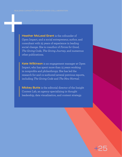**Heather McLeod Grant** is the cofounder of Open Impact, and a social entrepreneur, author, and consultant with 25 years of experience in leading social change. She is coauthor of *Forces for Good*, *The Giving Code*, *The Giving Journey*, and numerous other publications.

**Kate Wilkinson** is an engagement manager at Open Impact, who has spent more than 15 years working in nonprofits and philanthropy. She has led the research for and co-authored several previous reports, including *The Giving Code* and *The New Normal*.

**Mickey Butts** is the editorial director of the Insight Content Lab, an agency specializing in thought leadership, data visualization, and content strategy.